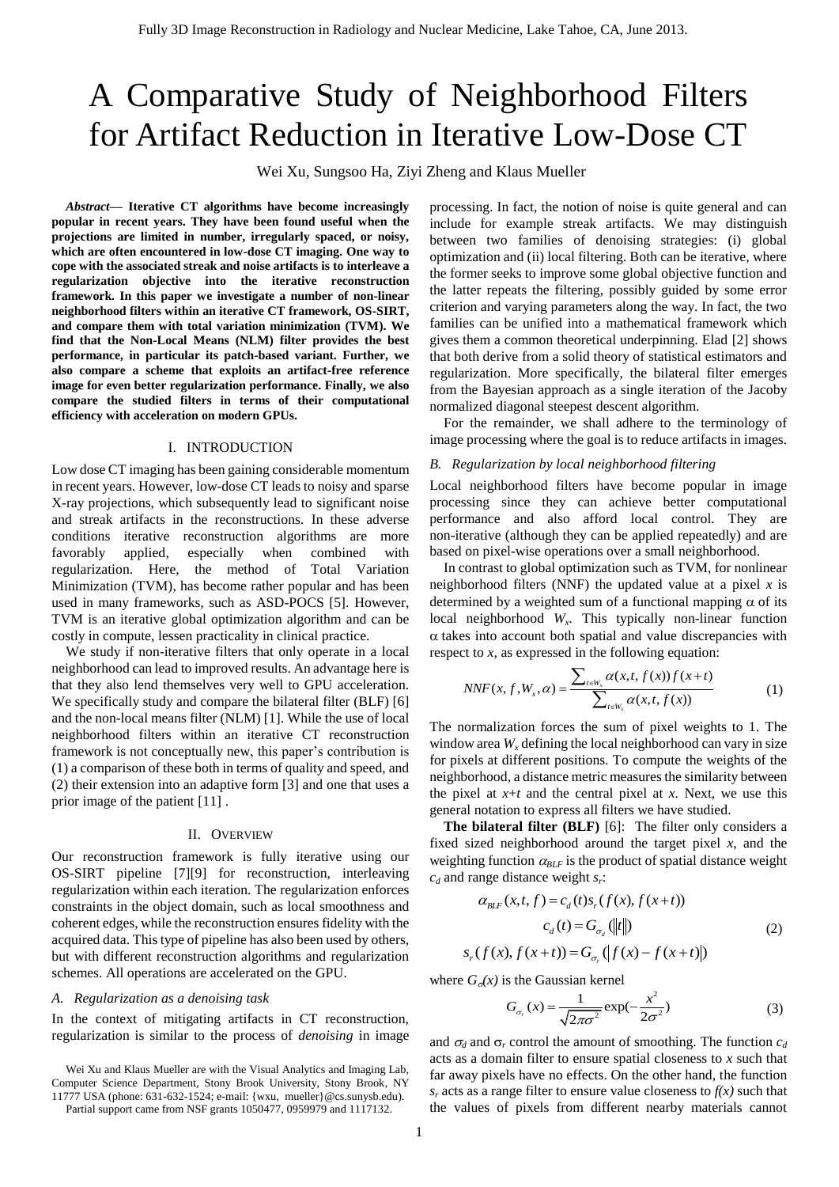# A Comparative Study of Neighborhood Filters for Artifact Reduction in Iterative Low-Dose CT

Wei Xu, Sungsoo Ha, Ziyi Zheng and Klaus Mueller

*Abstract***— Iterative CT algorithms have become increasingly popular in recent years. They have been found useful when the projections are limited in number, irregularly spaced, or noisy, which are often encountered in low-dose CT imaging. One way to cope with the associated streak and noise artifacts is to interleave a regularization objective into the iterative reconstruction framework. In this paper we investigate a number of non-linear neighborhood filters within an iterative CT framework, OS-SIRT, and compare them with total variation minimization (TVM). We find that the Non-Local Means (NLM) filter provides the best performance, in particular its patch-based variant. Further, we also compare a scheme that exploits an artifact-free reference image for even better regularization performance. Finally, we also compare the studied filters in terms of their computational efficiency with acceleration on modern GPUs.** 

## I. INTRODUCTION

Low dose CT imaging has been gaining considerable momentum in recent years. However, low-dose CT leads to noisy and sparse X-ray projections, which subsequently lead to significant noise and streak artifacts in the reconstructions. In these adverse conditions iterative reconstruction algorithms are more favorably applied, especially when combined with regularization. Here, the method of Total Variation Minimization (TVM), has become rather popular and has been used in many frameworks, such as ASD-POCS [\[5\].](#page-3-0) However, TVM is an iterative global optimization algorithm and can be costly in compute, lessen practicality in clinical practice.

 We study if non-iterative filters that only operate in a local neighborhood can lead to improved results. An advantage here is that they also lend themselves very well to GPU acceleration. We specifically study and compare the bilateral filter (BLF) [\[6\]](#page-3-1) and the non-local means filter (NLM) [\[1\].](#page-3-2) While the use of local neighborhood filters within an iterative CT reconstruction framework is not conceptually new, this paper's contribution is (1) a comparison of these both in terms of quality and speed, and (2) their extension into an adaptive form [\[3\]](#page-3-3) and one that uses a prior image of the patient [\[11\]](#page-3-4) .

#### II. OVERVIEW

Our reconstruction framework is fully iterative using our OS-SIRT pipeline [\[7\]\[9\]](#page-3-5) for reconstruction, interleaving regularization within each iteration. The regularization enforces constraints in the object domain, such as local smoothness and coherent edges, while the reconstruction ensures fidelity with the acquired data. This type of pipeline has also been used by others, but with different reconstruction algorithms and regularization schemes. All operations are accelerated on the GPU.

## *A. Regularization as a denoising task*

In the context of mitigating artifacts in CT reconstruction, regularization is similar to the process of *denoising* in image

Partial support came from NSF grants 1050477, 0959979 and 1117132.

processing. In fact, the notion of noise is quite general and can include for example streak artifacts. We may distinguish between two families of denoising strategies: (i) global optimization and (ii) local filtering. Both can be iterative, where the former seeks to improve some global objective function and the latter repeats the filtering, possibly guided by some error criterion and varying parameters along the way. In fact, the two families can be unified into a mathematical framework which gives them a common theoretical underpinning. Elad [\[2\]](#page-3-6) shows that both derive from a solid theory of statistical estimators and regularization. More specifically, the bilateral filter emerges from the Bayesian approach as a single iteration of the Jacoby normalized diagonal steepest descent algorithm.

 For the remainder, we shall adhere to the terminology of image processing where the goal is to reduce artifacts in images.

#### *B. Regularization by local neighborhood filtering*

Local neighborhood filters have become popular in image processing since they can achieve better computational performance and also afford local control. They are non-iterative (although they can be applied repeatedly) and are based on pixel-wise operations over a small neighborhood.

 In contrast to global optimization such as TVM, for nonlinear neighborhood filters (NNF) the updated value at a pixel *x* is determined by a weighted sum of a functional mapping  $\alpha$  of its local neighborhood *W<sup>x</sup> .* This typically non-linear function  $\alpha$  takes into account both spatial and value discrepancies with

respect to *x*, as expressed in the following equation:  
\n
$$
NNF(x, f, W_x, \alpha) = \frac{\sum_{t \in W_x} \alpha(x, t, f(x)) f(x + t)}{\sum_{t \in W_x} \alpha(x, t, f(x))}
$$
\n(1)

The normalization forces the sum of pixel weights to 1. The window area  $W_x$  defining the local neighborhood can vary in size for pixels at different positions. To compute the weights of the neighborhood, a distance metric measures the similarity between the pixel at  $x+t$  and the central pixel at  $x$ . Next, we use this general notation to express all filters we have studied.

 **The bilateral filter (BLF)** [\[6\]:](#page-3-1) The filter only considers a fixed sized neighborhood around the target pixel *x*, and the weighting function  $\alpha_{BLF}$  is the product of spatial distance weight

$$
c_d \text{ and range distance weight } s_r:
$$
\n
$$
\alpha_{BLF}(x, t, f) = c_d(t)s_r(f(x), f(x+t))
$$
\n
$$
c_d(t) = G_{\sigma_d}(\|t\|)
$$
\n
$$
s_r(f(x), f(x+t)) = G_{\sigma_r}(\|f(x) - f(x+t)\|)
$$
\n(2)

where  $G_{\sigma}(x)$  is the Gaussian kernel

$$
G_{\sigma_r}(x) = \frac{1}{\sqrt{2\pi\sigma^2}} \exp(-\frac{x^2}{2\sigma^2})
$$
 (3)

and  $\sigma_d$  and  $\sigma_r$  control the amount of smoothing. The function  $c_d$ acts as a domain filter to ensure spatial closeness to *x* such that far away pixels have no effects. On the other hand, the function  $s_r$  acts as a range filter to ensure value closeness to  $f(x)$  such that the values of pixels from different nearby materials cannot

Wei Xu and Klaus Mueller are with the Visual Analytics and Imaging Lab, Computer Science Department, Stony Brook University, Stony Brook, NY 11777 USA (phone: 631-632-1524; e-mail: {wxu, mueller}@cs.sunysb.edu).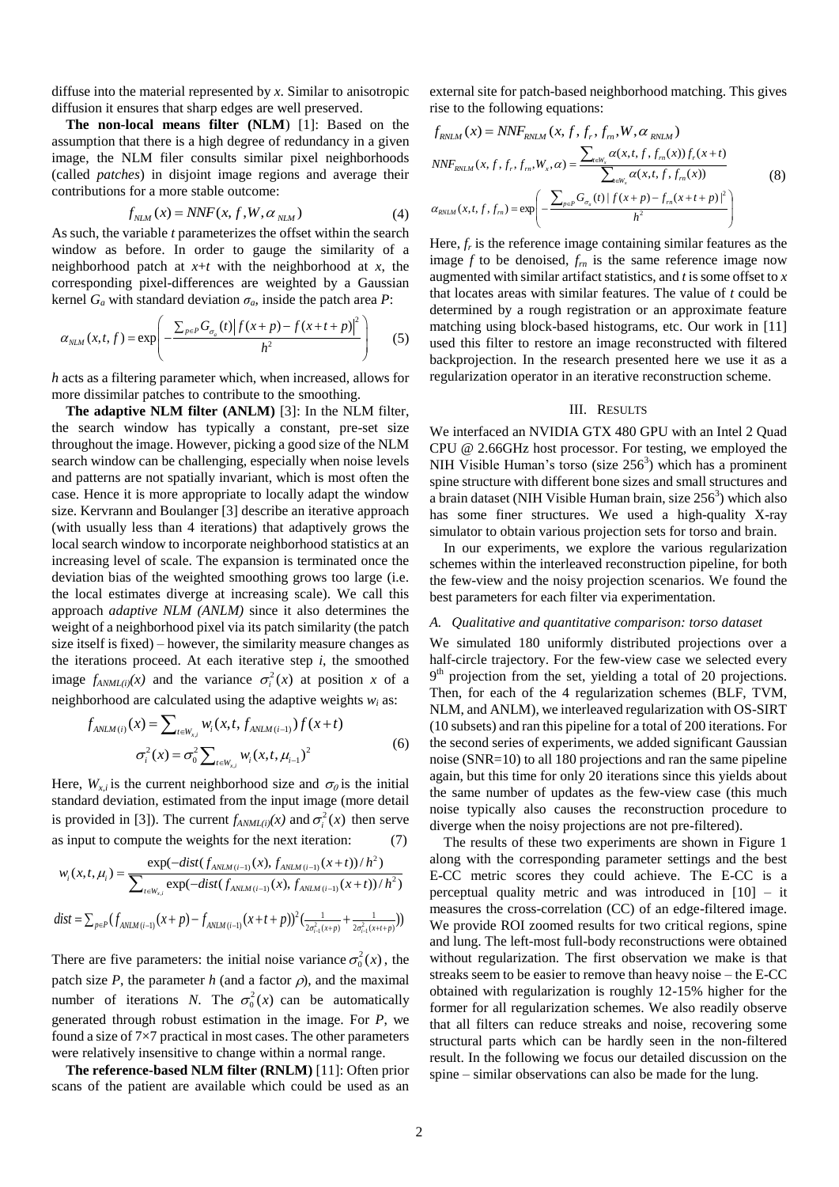diffuse into the material represented by *x*. Similar to anisotropic diffusion it ensures that sharp edges are well preserved.

**The non-local means filter (NLM**) [\[1\]:](#page-3-2) Based on the assumption that there is a high degree of redundancy in a given image, the NLM filer consults similar pixel neighborhoods (called *patches*) in disjoint image regions and average their contributions for a more stable outcome:

$$
f_{NLM}(x) = NNF(x, f, W, \alpha_{NLM})
$$
\n(4)

As such, the variable *t* parameterizes the offset within the search window as before. In order to gauge the similarity of a neighborhood patch at *x*+*t* with the neighborhood at *x*, the corresponding pixel-differences are weighted by a Gaussian

kernel 
$$
G_a
$$
 with standard deviation  $\sigma_a$ , inside the patch area  $P$ :  
\n
$$
\alpha_{NLM}(x, t, f) = \exp\left(-\frac{\sum_{p \in P} G_{\sigma_a}(t) |f(x+p) - f(x+t+p)|^2}{h^2}\right)
$$
\n(5)

*h* acts as a filtering parameter which, when increased, allows for more dissimilar patches to contribute to the smoothing.

**The adaptive NLM filter (ANLM)** [\[3\]:](#page-3-3) In the NLM filter, the search window has typically a constant, pre-set size throughout the image. However, picking a good size of the NLM search window can be challenging, especially when noise levels and patterns are not spatially invariant, which is most often the case. Hence it is more appropriate to locally adapt the window size. Kervrann and Boulanger [\[3\]](#page-3-3) describe an iterative approach (with usually less than 4 iterations) that adaptively grows the local search window to incorporate neighborhood statistics at an increasing level of scale. The expansion is terminated once the deviation bias of the weighted smoothing grows too large (i.e. the local estimates diverge at increasing scale). We call this approach *adaptive NLM (ANLM)* since it also determines the weight of a neighborhood pixel via its patch similarity (the patch size itself is fixed) – however, the similarity measure changes as the iterations proceed. At each iterative step *i*, the smoothed image  $f_{ANML(i)}(x)$  and the variance  $\sigma_i^2(x)$  at position *x* of a

neighborhood are calculated using the adaptive weights 
$$
w_i
$$
 as:  
\n
$$
f_{ANLM(i)}(x) = \sum_{t \in W_{x,i}} w_i(x, t, f_{ANLM(i-1)}) f(x + t)
$$
\n
$$
\sigma_i^2(x) = \sigma_0^2 \sum_{t \in W_{x,i}} w_i(x, t, \mu_{i-1})^2
$$
\n(6)

Here,  $W_{x,i}$  is the current neighborhood size and  $\sigma_{\theta}$  is the initial standard deviation, estimated from the input image (more detail is provided in [\[3\]\)](#page-3-3). The current  $f_{AMML(i)}(x)$  and  $\sigma_i^2(x)$  then serve

as input to compute the weights for the next iteration: (7)  
\n
$$
w_i(x, t, \mu_i) = \frac{\exp(-dist(f_{ANLM(i-1)}(x), f_{ANLM(i-1)}(x+t))/h^2)}{\sum_{t \in W_{x,i}} \exp(-dist(f_{ANLM(i-1)}(x), f_{ANLM(i-1)}(x+t))/h^2)}
$$
\n
$$
dist = \sum_{p \in P} (f_{ANLM(i-1)}(x+p) - f_{ANLM(i-1)}(x+t+p))^2 (\frac{1}{2\sigma_{i-1}^2(x+p)} + \frac{1}{2\sigma_{i-1}^2(x+t+p)}))
$$

There are five parameters: the initial noise variance  $\sigma_0^2(x)$ , the patch size  $P$ , the parameter  $h$  (and a factor  $\rho$ ), and the maximal number of iterations *N*. The  $\sigma_0^2(x)$  can be automatically generated through robust estimation in the image. For *P*, we found a size of 7×7 practical in most cases. The other parameters were relatively insensitive to change within a normal range.

**The reference-based NLM filter (RNLM)** [\[11\]:](#page-3-4) Often prior scans of the patient are available which could be used as an external site for patch-based neighborhood matching. This gives

rise to the following equations:  
\n
$$
f_{RNLM}(x) = NNF_{RNLM}(x, f, f_r, f_m, W, \alpha_{RNLM})
$$
\n
$$
NNF_{RVLM}(x, f, f_r, f_m, W_x, \alpha) = \frac{\sum_{n \in W_x} \alpha(x, t, f, f_m(x)) f_r(x+t)}{\sum_{n \in W_x} \alpha(x, t, f, f_m(x))}
$$
\n(8)  
\n
$$
\alpha_{RVLM}(x, t, f, f_m) = \exp\left(-\frac{\sum_{p \in P} G_{\sigma_a}(t) |f(x+p) - f_m(x+t+p)|^2}{h^2}\right)
$$

Here,  $f_r$  is the reference image containing similar features as the image  $f$  to be denoised,  $f_m$  is the same reference image now augmented with similar artifact statistics, and *t* is some offset to *x* that locates areas with similar features. The value of *t* could be determined by a rough registration or an approximate feature matching using block-based histograms, etc. Our work in [\[11\]](#page-3-4) used this filter to restore an image reconstructed with filtered backprojection. In the research presented here we use it as a regularization operator in an iterative reconstruction scheme.

## III. RESULTS

We interfaced an NVIDIA GTX 480 GPU with an Intel 2 Quad CPU @ 2.66GHz host processor. For testing, we employed the NIH Visible Human's torso (size  $256<sup>3</sup>$ ) which has a prominent spine structure with different bone sizes and small structures and a brain dataset (NIH Visible Human brain, size  $256<sup>3</sup>$ ) which also has some finer structures. We used a high-quality X-ray simulator to obtain various projection sets for torso and brain.

 In our experiments, we explore the various regularization schemes within the interleaved reconstruction pipeline, for both the few-view and the noisy projection scenarios. We found the best parameters for each filter via experimentation.

## *A. Qualitative and quantitative comparison: torso dataset*

We simulated 180 uniformly distributed projections over a half-circle trajectory. For the few-view case we selected every 9<sup>th</sup> projection from the set, yielding a total of 20 projections. Then, for each of the 4 regularization schemes (BLF, TVM, NLM, and ANLM), we interleaved regularization with OS-SIRT (10 subsets) and ran this pipeline for a total of 200 iterations. For the second series of experiments, we added significant Gaussian noise (SNR=10) to all 180 projections and ran the same pipeline again, but this time for only 20 iterations since this yields about the same number of updates as the few-view case (this much noise typically also causes the reconstruction procedure to diverge when the noisy projections are not pre-filtered).

 The results of these two experiments are shown in Figure 1 along with the corresponding parameter settings and the best E-CC metric scores they could achieve. The E-CC is a perceptual quality metric and was introduced in [\[10\]](#page-3-7) – it measures the cross-correlation (CC) of an edge-filtered image. We provide ROI zoomed results for two critical regions, spine and lung. The left-most full-body reconstructions were obtained without regularization. The first observation we make is that streaks seem to be easier to remove than heavy noise – the E-CC obtained with regularization is roughly 12-15% higher for the former for all regularization schemes. We also readily observe that all filters can reduce streaks and noise, recovering some structural parts which can be hardly seen in the non-filtered result. In the following we focus our detailed discussion on the spine – similar observations can also be made for the lung.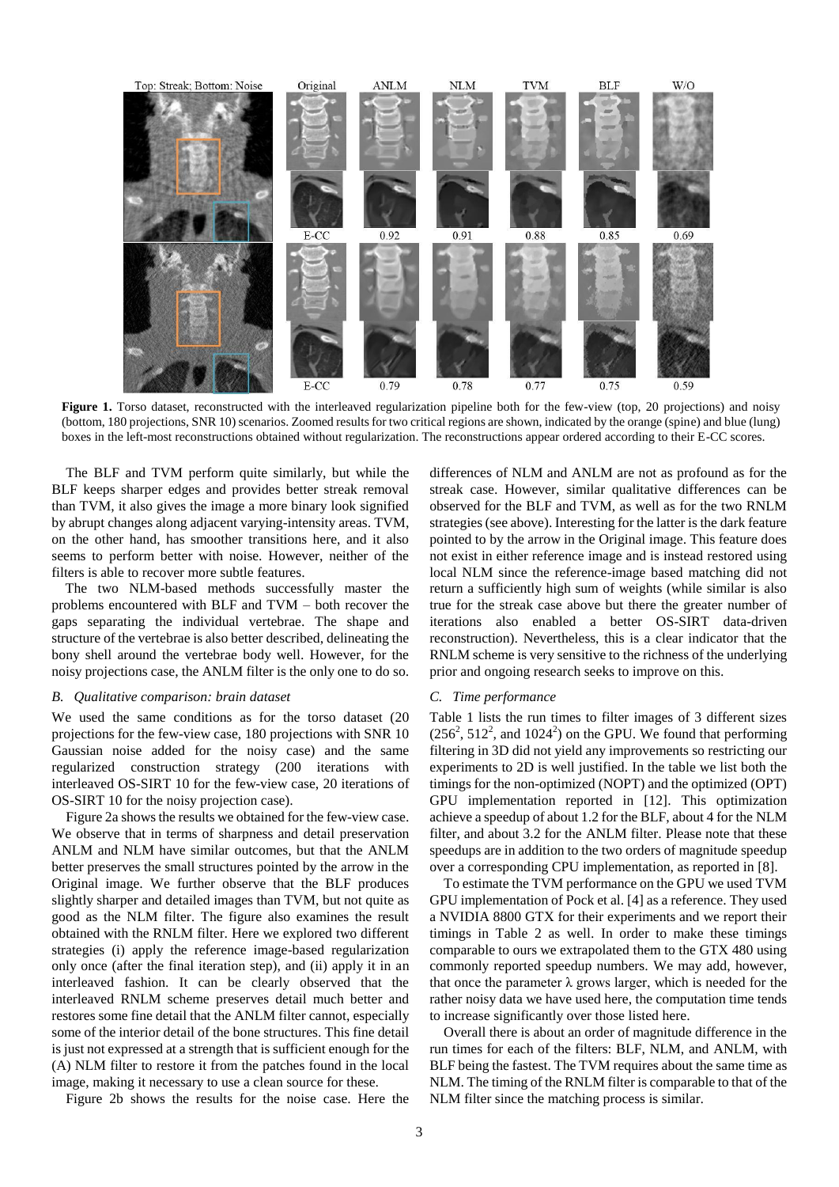

**Figure 1.** Torso dataset, reconstructed with the interleaved regularization pipeline both for the few-view (top, 20 projections) and noisy (bottom, 180 projections, SNR 10) scenarios. Zoomed results for two critical regions are shown, indicated by the orange (spine) and blue (lung) boxes in the left-most reconstructions obtained without regularization. The reconstructions appear ordered according to their E-CC scores.

 The BLF and TVM perform quite similarly, but while the BLF keeps sharper edges and provides better streak removal than TVM, it also gives the image a more binary look signified by abrupt changes along adjacent varying-intensity areas. TVM, on the other hand, has smoother transitions here, and it also seems to perform better with noise. However, neither of the filters is able to recover more subtle features.

The two NLM-based methods successfully master the problems encountered with BLF and TVM – both recover the gaps separating the individual vertebrae. The shape and structure of the vertebrae is also better described, delineating the bony shell around the vertebrae body well. However, for the noisy projections case, the ANLM filter is the only one to do so.

### *B. Qualitative comparison: brain dataset*

We used the same conditions as for the torso dataset (20 projections for the few-view case, 180 projections with SNR 10 Gaussian noise added for the noisy case) and the same regularized construction strategy (200 iterations with interleaved OS-SIRT 10 for the few-view case, 20 iterations of OS-SIRT 10 for the noisy projection case).

Figure 2a shows the results we obtained for the few-view case. We observe that in terms of sharpness and detail preservation ANLM and NLM have similar outcomes, but that the ANLM better preserves the small structures pointed by the arrow in the Original image. We further observe that the BLF produces slightly sharper and detailed images than TVM, but not quite as good as the NLM filter. The figure also examines the result obtained with the RNLM filter. Here we explored two different strategies (i) apply the reference image-based regularization only once (after the final iteration step), and (ii) apply it in an interleaved fashion. It can be clearly observed that the interleaved RNLM scheme preserves detail much better and restores some fine detail that the ANLM filter cannot, especially some of the interior detail of the bone structures. This fine detail is just not expressed at a strength that is sufficient enough for the (A) NLM filter to restore it from the patches found in the local image, making it necessary to use a clean source for these.

Figure 2b shows the results for the noise case. Here the

differences of NLM and ANLM are not as profound as for the streak case. However, similar qualitative differences can be observed for the BLF and TVM, as well as for the two RNLM strategies (see above). Interesting for the latter is the dark feature pointed to by the arrow in the Original image. This feature does not exist in either reference image and is instead restored using local NLM since the reference-image based matching did not return a sufficiently high sum of weights (while similar is also true for the streak case above but there the greater number of iterations also enabled a better OS-SIRT data-driven reconstruction). Nevertheless, this is a clear indicator that the RNLM scheme is very sensitive to the richness of the underlying prior and ongoing research seeks to improve on this.

## *C. Time performance*

Table 1 lists the run times to filter images of 3 different sizes  $(256<sup>2</sup>, 512<sup>2</sup>, and 1024<sup>2</sup>)$  on the GPU. We found that performing filtering in 3D did not yield any improvements so restricting our experiments to 2D is well justified. In the table we list both the timings for the non-optimized (NOPT) and the optimized (OPT) GPU implementation reported in [\[12\].](#page-3-8) This optimization achieve a speedup of about 1.2 for the BLF, about 4 for the NLM filter, and about 3.2 for the ANLM filter. Please note that these speedups are in addition to the two orders of magnitude speedup over a corresponding CPU implementation, as reported in [\[8\].](#page-3-9)

 To estimate the TVM performance on the GPU we used TVM GPU implementation of Pock et al. [\[4\]](#page-3-10) as a reference. They used a NVIDIA 8800 GTX for their experiments and we report their timings in Table 2 as well. In order to make these timings comparable to ours we extrapolated them to the GTX 480 using commonly reported speedup numbers. We may add, however, that once the parameter  $\lambda$  grows larger, which is needed for the rather noisy data we have used here, the computation time tends to increase significantly over those listed here.

 Overall there is about an order of magnitude difference in the run times for each of the filters: BLF, NLM, and ANLM, with BLF being the fastest. The TVM requires about the same time as NLM. The timing of the RNLM filter is comparable to that of the NLM filter since the matching process is similar.